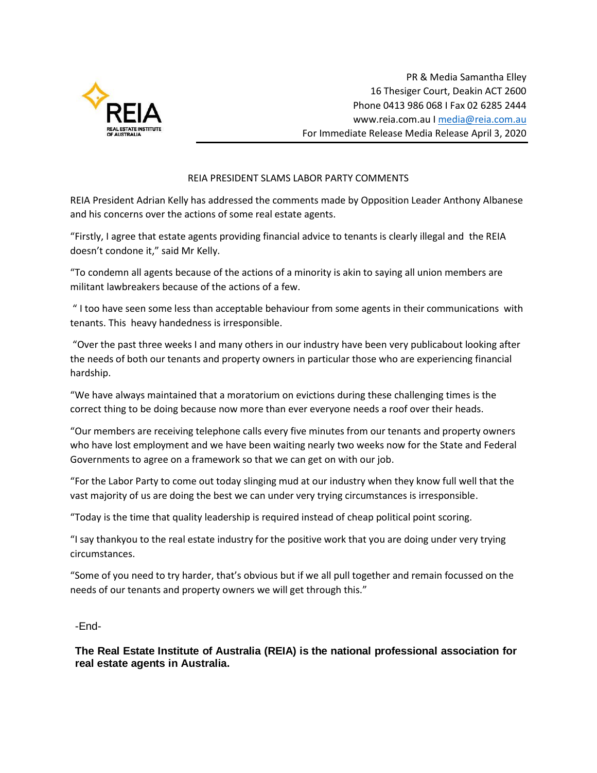

## REIA PRESIDENT SLAMS LABOR PARTY COMMENTS

REIA President Adrian Kelly has addressed the comments made by Opposition Leader Anthony Albanese and his concerns over the actions of some real estate agents.

"Firstly, I agree that estate agents providing financial advice to tenants is clearly illegal and the REIA doesn't condone it," said Mr Kelly.

"To condemn all agents because of the actions of a minority is akin to saying all union members are militant lawbreakers because of the actions of a few.

" I too have seen some less than acceptable behaviour from some agents in their communications with tenants. This heavy handedness is irresponsible.

"Over the past three weeks I and many others in our industry have been very publicabout looking after the needs of both our tenants and property owners in particular those who are experiencing financial hardship.

"We have always maintained that a moratorium on evictions during these challenging times is the correct thing to be doing because now more than ever everyone needs a roof over their heads.

"Our members are receiving telephone calls every five minutes from our tenants and property owners who have lost employment and we have been waiting nearly two weeks now for the State and Federal Governments to agree on a framework so that we can get on with our job.

"For the Labor Party to come out today slinging mud at our industry when they know full well that the vast majority of us are doing the best we can under very trying circumstances is irresponsible.

"Today is the time that quality leadership is required instead of cheap political point scoring.

"I say thankyou to the real estate industry for the positive work that you are doing under very trying circumstances.

"Some of you need to try harder, that's obvious but if we all pull together and remain focussed on the needs of our tenants and property owners we will get through this."

-End-

**The Real Estate Institute of Australia (REIA) is the national professional association for real estate agents in Australia.**